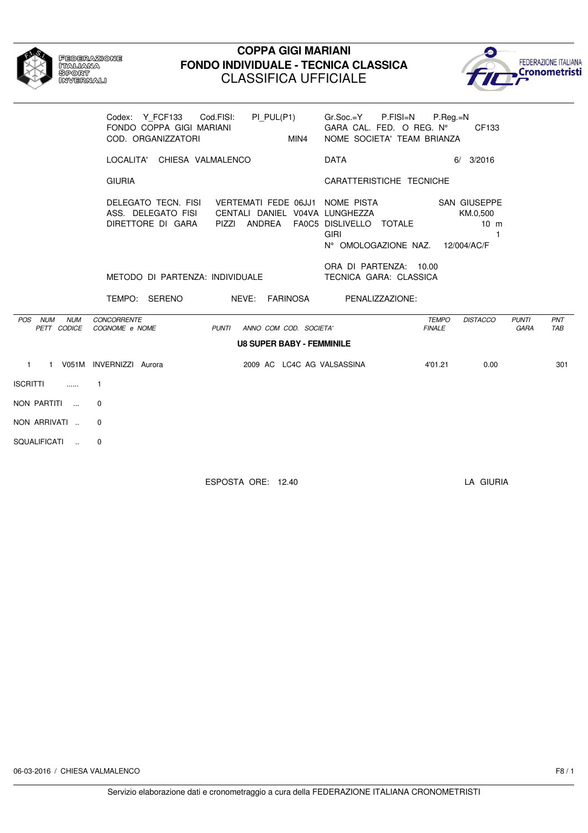| <b>FEDERAZIONE</b><br><b>NTANAMANA</b><br>SPORT<br><b><i>OMVERMALO</i></b> |
|----------------------------------------------------------------------------|
|                                                                            |
|                                                                            |

#### **COPPA GIGI MARIANI FONDO INDIVIDUALE - TECNICA CLASSICA** CLASSIFICA UFFICIALE



|                                      | Codex: Y_FCF133 Cod.FISI: PI_PUL(P1)<br>FONDO COPPA GIGI MARIANI<br>MIN4<br>COD. ORGANIZZATORI                                                                                      | Gr.Soc.=Y P.FISI=N P.Reg.=N<br>GARA CAL. FED. O REG. Nº<br>CF133<br>NOME SOCIETA' TEAM BRIANZA |
|--------------------------------------|-------------------------------------------------------------------------------------------------------------------------------------------------------------------------------------|------------------------------------------------------------------------------------------------|
|                                      | LOCALITA' CHIESA VALMALENCO                                                                                                                                                         | DATA<br>$6/$ 3/2016                                                                            |
|                                      | <b>GIURIA</b>                                                                                                                                                                       | CARATTERISTICHE TECNICHE                                                                       |
|                                      | DELEGATO TECN. FISI VERTEMATI FEDE 06JJ1 NOME PISTA SAN GIUSEPPE<br>ASS. DELEGATO FISI     CENTALI DANIEL V04VA LUNGHEZZA<br>DIRETTORE DI GARA PIZZI ANDREA FA0C5 DISLIVELLO TOTALE | KM.0.500<br>$10 \text{ m}$<br><b>GIRI</b><br>1<br>N° OMOLOGAZIONE NAZ. 12/004/AC/F             |
|                                      | METODO DI PARTENZA: INDIVIDUALE                                                                                                                                                     | ORA DI PARTENZA: 10.00<br>TECNICA GARA: CLASSICA                                               |
|                                      | TEMPO: SERENO NEVE: FARINOSA PENALIZZAZIONE:                                                                                                                                        |                                                                                                |
| POS NUM<br><b>NUM</b><br>PETT CODICE | <b>CONCORRENTE</b><br>COGNOME e NOME<br><b>PUNTI</b><br>ANNO COM COD. SOCIETA'                                                                                                      | <b>DISTACCO</b><br><b>PUNTI</b><br>PNT<br><b>TEMPO</b><br><b>FINALE</b><br><b>GARA</b><br>TAB  |
|                                      | <b>U8 SUPER BABY - FEMMINILE</b>                                                                                                                                                    |                                                                                                |
|                                      | 1 1 V051M INVERNIZZI Aurora<br>2009 AC LC4C AG VALSASSINA                                                                                                                           | 0.00<br>301<br>4'01.21                                                                         |
| <b>ISCRITTI</b><br>$\ldots$          | $\mathbf{1}$                                                                                                                                                                        |                                                                                                |
| NON PARTITI                          | $\Omega$                                                                                                                                                                            |                                                                                                |
| NON ARRIVATI                         | $\Omega$                                                                                                                                                                            |                                                                                                |
| SQUALIFICATI                         | 0                                                                                                                                                                                   |                                                                                                |

ESPOSTA ORE: 12.40 LA GIURIA

06-03-2016 / CHIESA VALMALENCO F8 / 1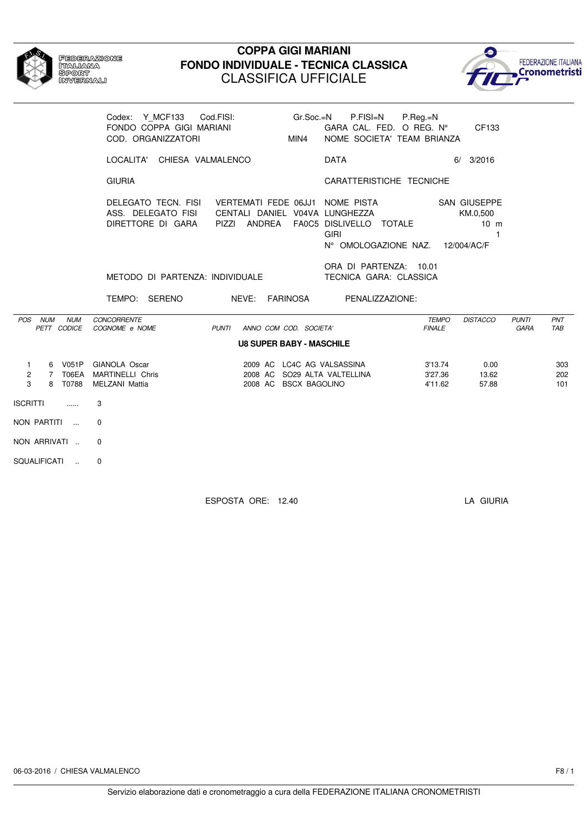

# Federazione<br>Italiana<br>Sport<br>Invernali

### **COPPA GIGI MARIANI FONDO INDIVIDUALE - TECNICA CLASSICA** CLASSIFICA UFFICIALE



|                                                           | Codex: Y MCF133 Cod.FISI:                                                                      | P.FISI=N P.Reg.=N<br>Gr.Soc.=N<br>GARA CAL. FED. O REG. Nº CF133<br>NOME SOCIETA' TEAM BRIANZA<br>MIN4        |                                                                                  |                                    |
|-----------------------------------------------------------|------------------------------------------------------------------------------------------------|---------------------------------------------------------------------------------------------------------------|----------------------------------------------------------------------------------|------------------------------------|
|                                                           | LOCALITA' CHIESA VALMALENCO                                                                    | <b>DATA</b>                                                                                                   | $6/$ 3/2016                                                                      |                                    |
|                                                           | <b>GIURIA</b>                                                                                  | CARATTERISTICHE TECNICHE                                                                                      |                                                                                  |                                    |
|                                                           | DELEGATO TECN. FISI VERTEMATI FEDE 06JJ1 NOME PISTA<br>ASS. DELEGATO FISI<br>DIRETTORE DI GARA | CENTALI DANIEL V04VA LUNGHEZZA<br>PIZZI ANDREA FA0C5 DISLIVELLO TOTALE<br><b>GIRI</b><br>N° OMOLOGAZIONE NAZ. | <b>SAN GIUSEPPE</b><br>KM.0.500<br>$10 \text{ m}$<br>$\mathbf{1}$<br>12/004/AC/F |                                    |
|                                                           | METODO DI PARTENZA: INDIVIDUALE                                                                | ORA DI PARTENZA: 10.01<br>TECNICA GARA: CLASSICA                                                              |                                                                                  |                                    |
|                                                           | TEMPO: SERENO NEVE: FARINOSA PENALIZZAZIONE:                                                   |                                                                                                               |                                                                                  |                                    |
| POS NUM<br><b>NUM</b><br>PETT CODICE                      | CONCORRENTE<br>COGNOME e NOME<br>PUNTI<br>ANNO COM COD. SOCIETA'                               |                                                                                                               | <b>TEMPO</b><br><b>DISTACCO</b><br><b>FINALE</b>                                 | <b>PUNTI</b><br>PNT<br>GARA<br>TAB |
|                                                           | <b>U8 SUPER BABY - MASCHILE</b>                                                                |                                                                                                               |                                                                                  |                                    |
| $\mathbf{1}$<br>7 T06EA<br>$\overline{2}$<br>3<br>8 T0788 | 6 V051P GIANOLA Oscar<br><b>MARTINELLI Chris</b><br>MELZANI Mattia<br>2008 AC BSCX BAGOLINO    | 2009 AC LC4C AG VALSASSINA<br>2008 AC SO29 ALTA VALTELLINA                                                    | 0.00<br>3'13.74<br>3'27.36<br>13.62<br>4'11.62<br>57.88                          | 303<br>202<br>101                  |
| <b>ISCRITTI</b><br>1.1.1.1                                | 3                                                                                              |                                                                                                               |                                                                                  |                                    |
| NON PARTITI                                               | $\mathbf 0$                                                                                    |                                                                                                               |                                                                                  |                                    |
| NON ARRIVATI                                              | 0                                                                                              |                                                                                                               |                                                                                  |                                    |
| SQUALIFICATI<br>$\sim$                                    | 0                                                                                              |                                                                                                               |                                                                                  |                                    |

ESPOSTA ORE: 12.40 LA GIURIA

06-03-2016 / CHIESA VALMALENCO F8 / 1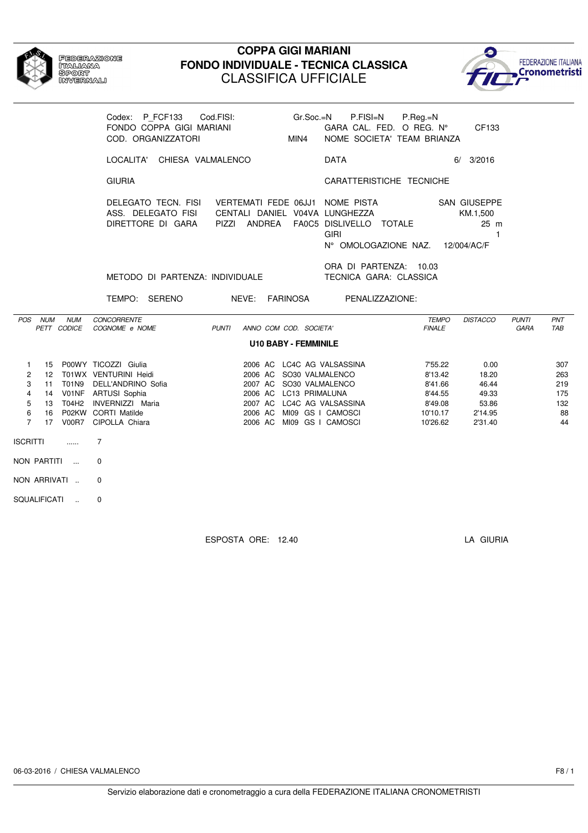

### **COPPA GIGI MARIANI FONDO INDIVIDUALE - TECNICA CLASSICA** CLASSIFICA UFFICIALE



|                                                                      |         |                           | Codex: P FCF133<br>FONDO COPPA GIGI MARIANI<br>COD. ORGANIZZATORI                                                                                                                              | Cod.FISI:<br>Gr.Soc.=N<br>MIN4                                                                                                                                                                     | P.FISI=N<br>GARA CAL. FED. O REG. $N^{\circ}$<br>NOME SOCIETA' TEAM BRIANZA | P.Reg.=N                                                                    | CF133                                                          |                      |                                             |
|----------------------------------------------------------------------|---------|---------------------------|------------------------------------------------------------------------------------------------------------------------------------------------------------------------------------------------|----------------------------------------------------------------------------------------------------------------------------------------------------------------------------------------------------|-----------------------------------------------------------------------------|-----------------------------------------------------------------------------|----------------------------------------------------------------|----------------------|---------------------------------------------|
|                                                                      |         |                           | LOCALITA' CHIESA VALMALENCO                                                                                                                                                                    |                                                                                                                                                                                                    | <b>DATA</b>                                                                 |                                                                             | $6/$ 3/2016                                                    |                      |                                             |
|                                                                      |         |                           | <b>GIURIA</b>                                                                                                                                                                                  |                                                                                                                                                                                                    | CARATTERISTICHE TECNICHE                                                    |                                                                             |                                                                |                      |                                             |
|                                                                      |         |                           | DELEGATO TECN. FISI<br>ASS. DELEGATO FISI<br>DIRETTORE DI GARA                                                                                                                                 | VERTEMATI FEDE 06JJ1 NOME PISTA SAN GIUSEPPE<br>CENTALI DANIEL V04VA LUNGHEZZA<br>PIZZI ANDREA                                                                                                     | FA0C5 DISLIVELLO TOTALE<br><b>GIRI</b><br>N° OMOLOGAZIONE NAZ. 12/004/AC/F  |                                                                             | KM.1,500<br>$25 \text{ m}$<br>$\mathbf{1}$                     |                      |                                             |
|                                                                      |         |                           | METODO DI PARTENZA: INDIVIDUALE                                                                                                                                                                |                                                                                                                                                                                                    | ORA DI PARTENZA: 10.03<br>TECNICA GARA: CLASSICA                            |                                                                             |                                                                |                      |                                             |
|                                                                      |         |                           | TEMPO: SERENO                                                                                                                                                                                  | NEVE: FARINOSA PENALIZZAZIONE:                                                                                                                                                                     |                                                                             |                                                                             |                                                                |                      |                                             |
|                                                                      | POS NUM | <b>NUM</b><br>PETT CODICE | <b>CONCORRENTE</b><br>COGNOME e NOME                                                                                                                                                           | <b>PUNTI</b><br>ANNO COM COD. SOCIETA'                                                                                                                                                             |                                                                             | <b>TEMPO</b><br><b>FINALE</b>                                               | <b>DISTACCO</b>                                                | <b>PUNTI</b><br>GARA | <b>PNT</b><br>TAB                           |
|                                                                      |         |                           |                                                                                                                                                                                                | <b>U10 BABY - FEMMINILE</b>                                                                                                                                                                        |                                                                             |                                                                             |                                                                |                      |                                             |
| $\mathbf{1}$<br>2<br>3<br>$\overline{4}$<br>5<br>6<br>$\overline{7}$ |         |                           | 15 P00WY TICOZZI Giulia<br>12 T01WX VENTURINI Heidi<br>11 T01N9 DELL'ANDRINO Sofia<br>14 V01NF ARTUSI Sophia<br>13 T04H2 INVERNIZZI Maria<br>16 P02KW CORTI Matilde<br>17 V00R7 CIPOLLA Chiara | 2006 AC LC4C AG VALSASSINA<br>2006 AC SO30 VALMALENCO<br>2007 AC SO30 VALMALENCO<br>2006 AC LC13 PRIMALUNA<br>2007 AC LC4C AG VALSASSINA<br>2006 AC MI09 GS I CAMOSCI<br>2006 AC MI09 GS I CAMOSCI |                                                                             | 7'55.22<br>8'13.42<br>8'41.66<br>8'44.55<br>8'49.08<br>10'10.17<br>10'26.62 | 0.00<br>18.20<br>46.44<br>49.33<br>53.86<br>2'14.95<br>2'31.40 |                      | 307<br>263<br>219<br>175<br>132<br>88<br>44 |
| ISCRITTI                                                             |         | $\ldots$                  | 7                                                                                                                                                                                              |                                                                                                                                                                                                    |                                                                             |                                                                             |                                                                |                      |                                             |
|                                                                      |         | NON PARTITI               | $\Omega$                                                                                                                                                                                       |                                                                                                                                                                                                    |                                                                             |                                                                             |                                                                |                      |                                             |
|                                                                      |         | NON ARRIVATI              | 0                                                                                                                                                                                              |                                                                                                                                                                                                    |                                                                             |                                                                             |                                                                |                      |                                             |
| SQUALIFICATI                                                         |         | $\sim$                    | $\Omega$                                                                                                                                                                                       |                                                                                                                                                                                                    |                                                                             |                                                                             |                                                                |                      |                                             |

ESPOSTA ORE: 12.40 LA GIURIA